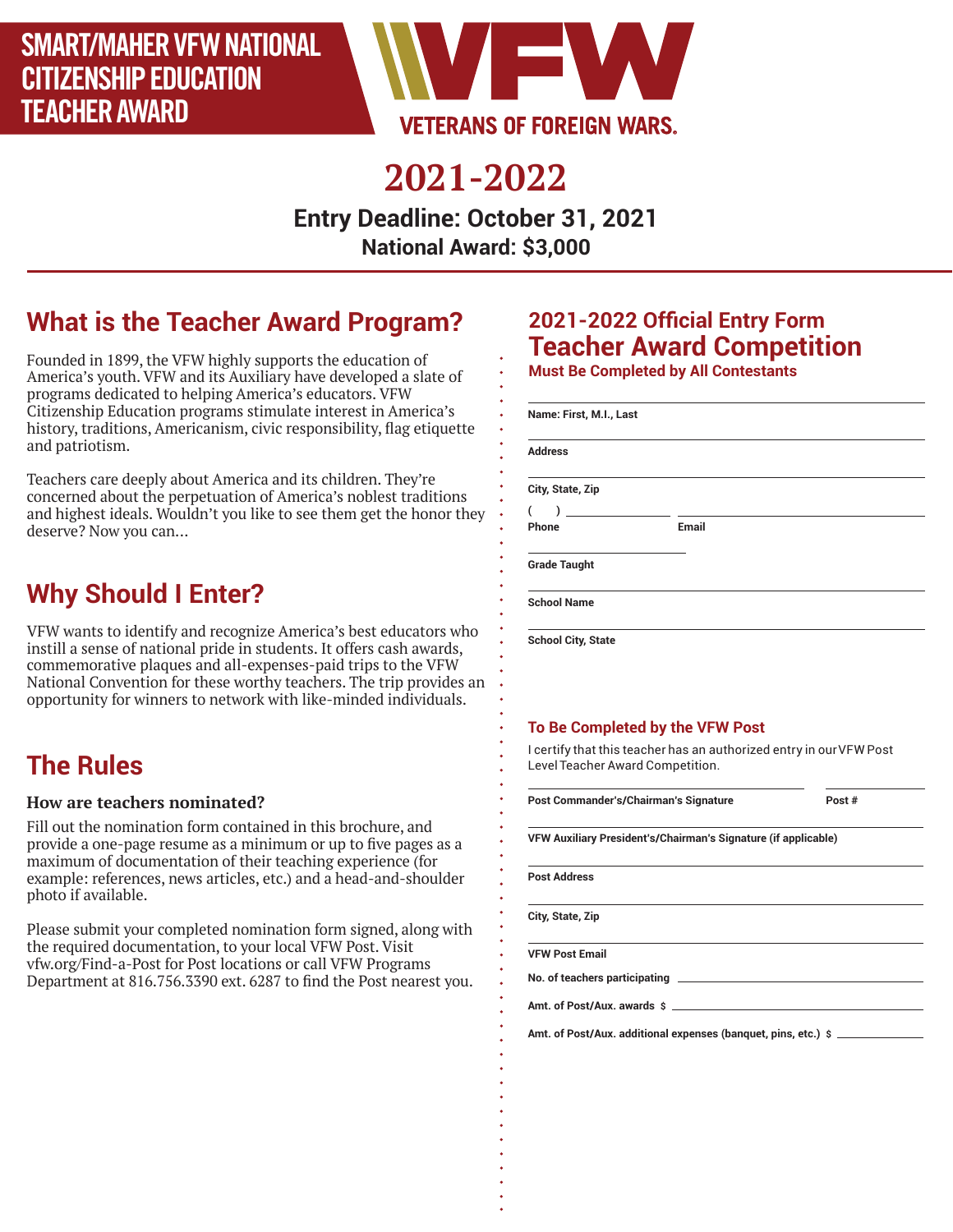

## **2021-2022**

**Entry Deadline: October 31, 2021 National Award: \$3,000**

## **What is the Teacher Award Program?**

Founded in 1899, the VFW highly supports the education of America's youth. VFW and its Auxiliary have developed a slate of programs dedicated to helping America's educators. VFW Citizenship Education programs stimulate interest in America's history, traditions, Americanism, civic responsibility, flag etiquette and patriotism.

Teachers care deeply about America and its children. They're concerned about the perpetuation of America's noblest traditions and highest ideals. Wouldn't you like to see them get the honor they deserve? Now you can...

### **Why Should I Enter?**

VFW wants to identify and recognize America's best educators who instill a sense of national pride in students. It offers cash awards, commemorative plaques and all-expenses-paid trips to the VFW National Convention for these worthy teachers. The trip provides an opportunity for winners to network with like-minded individuals.

### **The Rules**

#### **How are teachers nominated?**

Fill out the nomination form contained in this brochure, and provide a one-page resume as a minimum or up to five pages as a maximum of documentation of their teaching experience (for example: references, news articles, etc.) and a head-and-shoulder photo if available.

Please submit your completed nomination form signed, along with the required documentation, to your local VFW Post. Visit vfw.org/Find-a-Post for Post locations or call VFW Programs Department at 816.756.3390 ext. 6287 to find the Post nearest you.

#### **2021-2022 Official Entry Form Teacher Award Competition Must Be Completed by All Contestants**

| Name: First, M.I., Last               |       |  |
|---------------------------------------|-------|--|
| <b>Address</b>                        |       |  |
| City, State, Zip                      |       |  |
| $\begin{array}{c} \hline \end{array}$ |       |  |
| Phone                                 | Email |  |
| <b>Grade Taught</b>                   |       |  |
| <b>School Name</b>                    |       |  |

#### **To Be Completed by the VFW Post**

I certify that this teacher has an authorized entry in our VFW Post Level Teacher Award Competition.

| Post Commander's/Chairman's Signature                          | Post $#$ |
|----------------------------------------------------------------|----------|
| VFW Auxiliary President's/Chairman's Signature (if applicable) |          |
| <b>Post Address</b>                                            |          |
| City, State, Zip                                               |          |
| <b>VFW Post Email</b>                                          |          |
|                                                                |          |
| Amt. of Post/Aux. awards \$                                    |          |
| Amt. of Post/Aux. additional expenses (banquet, pins, etc.) \$ |          |